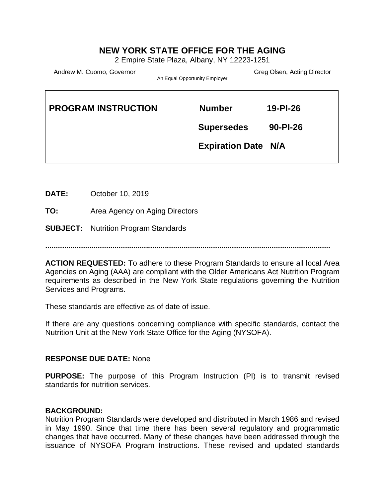# **NEW YORK STATE OFFICE FOR THE AGING**

2 Empire State Plaza, Albany, NY 12223-1251

Andrew M. Cuomo, Governor Carrier Corresponding to the Greg Olsen, Acting Director

 $\mathsf{r}$ 

An Equal Opportunity Employer

| <b>Number</b>     | $19 - P1 - 26$             |
|-------------------|----------------------------|
| <b>Supersedes</b> | $90 - P1 - 26$             |
|                   |                            |
|                   | <b>Expiration Date N/A</b> |

**DATE:** October 10, 2019

**TO:** Area Agency on Aging Directors

**SUBJECT:** Nutrition Program Standards

**........................................................................................................................................**

**ACTION REQUESTED:** To adhere to these Program Standards to ensure all local Area Agencies on Aging (AAA) are compliant with the Older Americans Act Nutrition Program requirements as described in the New York State regulations governing the Nutrition Services and Programs.

These standards are effective as of date of issue.

If there are any questions concerning compliance with specific standards, contact the Nutrition Unit at the New York State Office for the Aging (NYSOFA).

#### **RESPONSE DUE DATE:** None

**PURPOSE:** The purpose of this Program Instruction (PI) is to transmit revised standards for nutrition services.

#### **BACKGROUND:**

Nutrition Program Standards were developed and distributed in March 1986 and revised in May 1990. Since that time there has been several regulatory and programmatic changes that have occurred. Many of these changes have been addressed through the issuance of NYSOFA Program Instructions. These revised and updated standards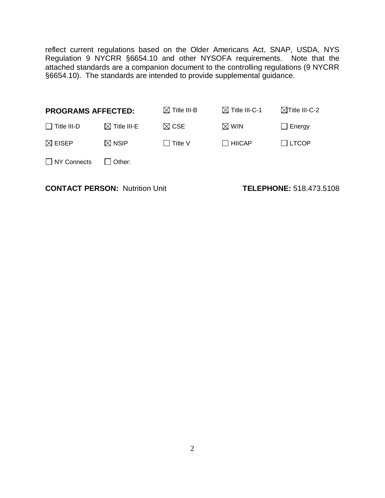reflect current regulations based on the Older Americans Act, SNAP, USDA, NYS Regulation 9 NYCRR §6654.10 and other NYSOFA requirements. Note that the attached standards are a companion document to the controlling regulations (9 NYCRR §6654.10). The standards are intended to provide supplemental guidance.

| <b>PROGRAMS AFFECTED:</b> |                         | $\boxtimes$ Title III-B | $\boxtimes$ Title III-C-1 | $\boxtimes$ Title III-C-2 |
|---------------------------|-------------------------|-------------------------|---------------------------|---------------------------|
| $\Box$ Title III-D        | $\boxtimes$ Title III-E | $\boxtimes$ CSE         | $\boxtimes$ WIN           | $\Box$ Energy             |
| $\boxtimes$ EISEP         | $\boxtimes$ NSIP        | $\Box$ Title V          | $\Box$ HIICAP             | $\Box$ LTCOP              |
| $\Box$ NY Connects        | $\Box$ Other:           |                         |                           |                           |
|                           |                         |                         |                           |                           |

**CONTACT PERSON:** Nutrition Unit **TELEPHONE:** 518.473.5108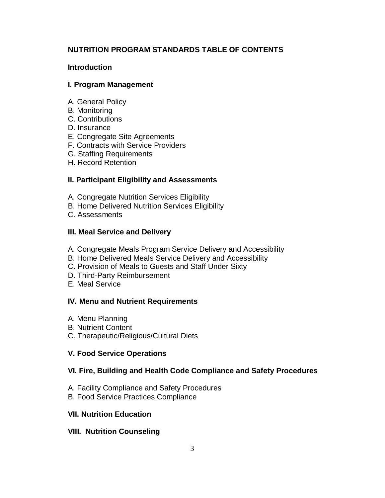## **NUTRITION PROGRAM STANDARDS TABLE OF CONTENTS**

## **Introduction**

### **I. Program Management**

- A. General Policy
- B. Monitoring
- C. Contributions
- D. Insurance
- E. Congregate Site Agreements
- F. Contracts with Service Providers
- G. Staffing Requirements
- H. Record Retention

## **II. Participant Eligibility and Assessments**

- A. Congregate Nutrition Services Eligibility
- B. Home Delivered Nutrition Services Eligibility
- C. Assessments

### **III. Meal Service and Delivery**

- A. Congregate Meals Program Service Delivery and Accessibility
- B. Home Delivered Meals Service Delivery and Accessibility
- C. Provision of Meals to Guests and Staff Under Sixty
- D. Third-Party Reimbursement
- E. Meal Service

#### **IV. Menu and Nutrient Requirements**

- A. Menu Planning
- B. Nutrient Content
- C. Therapeutic/Religious/Cultural Diets

## **V. Food Service Operations**

## **VI. Fire, Building and Health Code Compliance and Safety Procedures**

- A. Facility Compliance and Safety Procedures
- B. Food Service Practices Compliance

#### **VII. Nutrition Education**

## **VIII. Nutrition Counseling**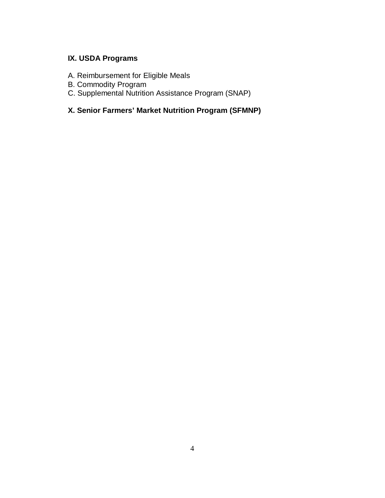# **IX. USDA Programs**

- A. Reimbursement for Eligible Meals
- B. Commodity Program
- C. Supplemental Nutrition Assistance Program (SNAP)

# **X. Senior Farmers' Market Nutrition Program (SFMNP)**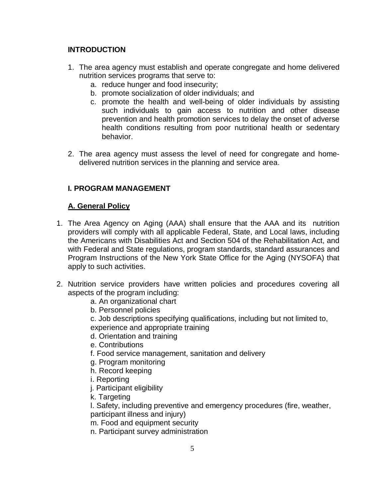## **INTRODUCTION**

- 1. The area agency must establish and operate congregate and home delivered nutrition services programs that serve to:
	- a. reduce hunger and food insecurity;
	- b. promote socialization of older individuals; and
	- c. promote the health and well-being of older individuals by assisting such individuals to gain access to nutrition and other disease prevention and health promotion services to delay the onset of adverse health conditions resulting from poor nutritional health or sedentary behavior.
- 2. The area agency must assess the level of need for congregate and homedelivered nutrition services in the planning and service area.

## **I. PROGRAM MANAGEMENT**

## **A. General Policy**

- 1. The Area Agency on Aging (AAA) shall ensure that the AAA and its nutrition providers will comply with all applicable Federal, State, and Local laws, including the Americans with Disabilities Act and Section 504 of the Rehabilitation Act, and with Federal and State regulations, program standards, standard assurances and Program Instructions of the New York State Office for the Aging (NYSOFA) that apply to such activities.
- 2. Nutrition service providers have written policies and procedures covering all aspects of the program including:
	- a. An organizational chart
	- b. Personnel policies
	- c. Job descriptions specifying qualifications, including but not limited to, experience and appropriate training
	- d. Orientation and training
	- e. Contributions
	- f. Food service management, sanitation and delivery
	- g. Program monitoring
	- h. Record keeping
	- i. Reporting
	- j. Participant eligibility
	- k. Targeting

l. Safety, including preventive and emergency procedures (fire, weather,

participant illness and injury)

m. Food and equipment security n. Participant survey administration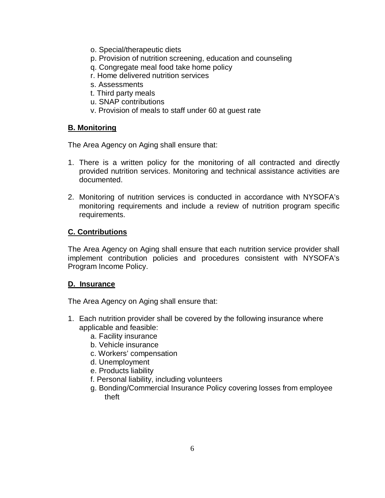- o. Special/therapeutic diets
- p. Provision of nutrition screening, education and counseling
- q. Congregate meal food take home policy
- r. Home delivered nutrition services
- s. Assessments
- t. Third party meals
- u. SNAP contributions
- v. Provision of meals to staff under 60 at guest rate

## **B. Monitoring**

The Area Agency on Aging shall ensure that:

- 1. There is a written policy for the monitoring of all contracted and directly provided nutrition services. Monitoring and technical assistance activities are documented.
- 2. Monitoring of nutrition services is conducted in accordance with NYSOFA's monitoring requirements and include a review of nutrition program specific requirements.

## **C. Contributions**

The Area Agency on Aging shall ensure that each nutrition service provider shall implement contribution policies and procedures consistent with NYSOFA's Program Income Policy.

## **D. Insurance**

- 1. Each nutrition provider shall be covered by the following insurance where applicable and feasible:
	- a. Facility insurance
	- b. Vehicle insurance
	- c. Workers' compensation
	- d. Unemployment
	- e. Products liability
	- f. Personal liability, including volunteers
	- g. Bonding/Commercial Insurance Policy covering losses from employee theft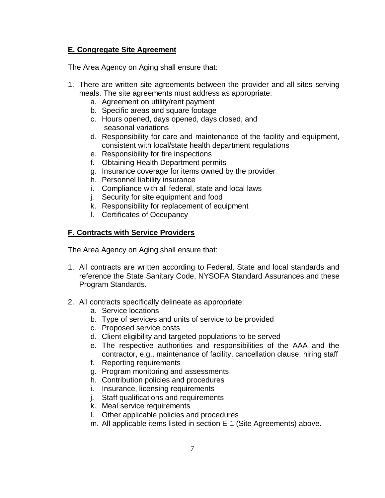## **E. Congregate Site Agreement**

The Area Agency on Aging shall ensure that:

- 1. There are written site agreements between the provider and all sites serving meals. The site agreements must address as appropriate:
	- a. Agreement on utility/rent payment
	- b. Specific areas and square footage
	- c. Hours opened, days opened, days closed, and seasonal variations
	- d. Responsibility for care and maintenance of the facility and equipment, consistent with local/state health department regulations
	- e. Responsibility for fire inspections
	- f. Obtaining Health Department permits
	- g. Insurance coverage for items owned by the provider
	- h. Personnel liability insurance
	- i. Compliance with all federal, state and local laws
	- j. Security for site equipment and food
	- k. Responsibility for replacement of equipment
	- l. Certificates of Occupancy

## **F. Contracts with Service Providers**

- 1. All contracts are written according to Federal, State and local standards and reference the State Sanitary Code, NYSOFA Standard Assurances and these Program Standards.
- 2. All contracts specifically delineate as appropriate:
	- a. Service locations
	- b. Type of services and units of service to be provided
	- c. Proposed service costs
	- d. Client eligibility and targeted populations to be served
	- e. The respective authorities and responsibilities of the AAA and the contractor, e.g., maintenance of facility, cancellation clause, hiring staff
	- f. Reporting requirements
	- g. Program monitoring and assessments
	- h. Contribution policies and procedures
	- i. Insurance, licensing requirements
	- j. Staff qualifications and requirements
	- k. Meal service requirements
	- l. Other applicable policies and procedures
	- m. All applicable items listed in section E-1 (Site Agreements) above.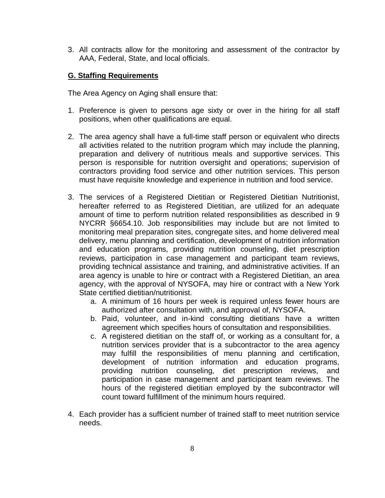3. All contracts allow for the monitoring and assessment of the contractor by AAA, Federal, State, and local officials.

## **G. Staffing Requirements**

- 1. Preference is given to persons age sixty or over in the hiring for all staff positions, when other qualifications are equal.
- 2. The area agency shall have a full-time staff person or equivalent who directs all activities related to the nutrition program which may include the planning, preparation and delivery of nutritious meals and supportive services. This person is responsible for nutrition oversight and operations; supervision of contractors providing food service and other nutrition services. This person must have requisite knowledge and experience in nutrition and food service.
- 3. The services of a Registered Dietitian or Registered Dietitian Nutritionist, hereafter referred to as Registered Dietitian, are utilized for an adequate amount of time to perform nutrition related responsibilities as described in 9 NYCRR §6654.10. Job responsibilities may include but are not limited to monitoring meal preparation sites, congregate sites, and home delivered meal delivery, menu planning and certification, development of nutrition information and education programs, providing nutrition counseling, diet prescription reviews, participation in case management and participant team reviews, providing technical assistance and training, and administrative activities. If an area agency is unable to hire or contract with a Registered Dietitian, an area agency, with the approval of NYSOFA, may hire or contract with a New York State certified dietitian/nutritionist.
	- a. A minimum of 16 hours per week is required unless fewer hours are authorized after consultation with, and approval of, NYSOFA.
	- b. Paid, volunteer, and in-kind consulting dietitians have a written agreement which specifies hours of consultation and responsibilities.
	- c. A registered dietitian on the staff of, or working as a consultant for, a nutrition services provider that is a subcontractor to the area agency may fulfill the responsibilities of menu planning and certification, development of nutrition information and education programs, providing nutrition counseling, diet prescription reviews, and participation in case management and participant team reviews. The hours of the registered dietitian employed by the subcontractor will count toward fulfillment of the minimum hours required.
- 4. Each provider has a sufficient number of trained staff to meet nutrition service needs.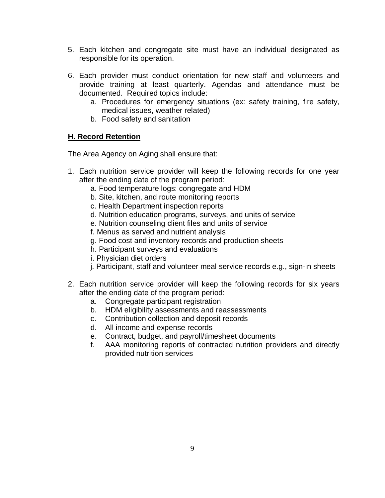- 5. Each kitchen and congregate site must have an individual designated as responsible for its operation.
- 6. Each provider must conduct orientation for new staff and volunteers and provide training at least quarterly. Agendas and attendance must be documented. Required topics include:
	- a. Procedures for emergency situations (ex: safety training, fire safety, medical issues, weather related)
	- b. Food safety and sanitation

## **H. Record Retention**

- 1. Each nutrition service provider will keep the following records for one year after the ending date of the program period:
	- a. Food temperature logs: congregate and HDM
	- b. Site, kitchen, and route monitoring reports
	- c. Health Department inspection reports
	- d. Nutrition education programs, surveys, and units of service
	- e. Nutrition counseling client files and units of service
	- f. Menus as served and nutrient analysis
	- g. Food cost and inventory records and production sheets
	- h. Participant surveys and evaluations
	- i. Physician diet orders
	- j. Participant, staff and volunteer meal service records e.g., sign-in sheets
- 2. Each nutrition service provider will keep the following records for six years after the ending date of the program period:
	- a. Congregate participant registration
	- b. HDM eligibility assessments and reassessments
	- c. Contribution collection and deposit records
	- d. All income and expense records
	- e. Contract, budget, and payroll/timesheet documents
	- f. AAA monitoring reports of contracted nutrition providers and directly provided nutrition services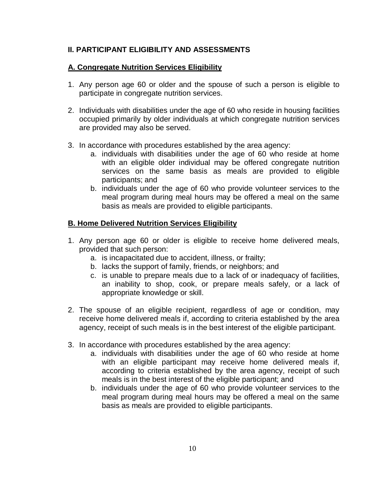## **II. PARTICIPANT ELIGIBILITY AND ASSESSMENTS**

#### **A. Congregate Nutrition Services Eligibility**

- 1. Any person age 60 or older and the spouse of such a person is eligible to participate in congregate nutrition services.
- 2. Individuals with disabilities under the age of 60 who reside in housing facilities occupied primarily by older individuals at which congregate nutrition services are provided may also be served.
- 3. In accordance with procedures established by the area agency:
	- a. individuals with disabilities under the age of 60 who reside at home with an eligible older individual may be offered congregate nutrition services on the same basis as meals are provided to eligible participants; and
	- b. individuals under the age of 60 who provide volunteer services to the meal program during meal hours may be offered a meal on the same basis as meals are provided to eligible participants.

#### **B. Home Delivered Nutrition Services Eligibility**

- 1. Any person age 60 or older is eligible to receive home delivered meals, provided that such person:
	- a. is incapacitated due to accident, illness, or frailty;
	- b. lacks the support of family, friends, or neighbors; and
	- c. is unable to prepare meals due to a lack of or inadequacy of facilities, an inability to shop, cook, or prepare meals safely, or a lack of appropriate knowledge or skill.
- 2. The spouse of an eligible recipient, regardless of age or condition, may receive home delivered meals if, according to criteria established by the area agency, receipt of such meals is in the best interest of the eligible participant.
- 3. In accordance with procedures established by the area agency:
	- a. individuals with disabilities under the age of 60 who reside at home with an eligible participant may receive home delivered meals if, according to criteria established by the area agency, receipt of such meals is in the best interest of the eligible participant; and
	- b. individuals under the age of 60 who provide volunteer services to the meal program during meal hours may be offered a meal on the same basis as meals are provided to eligible participants.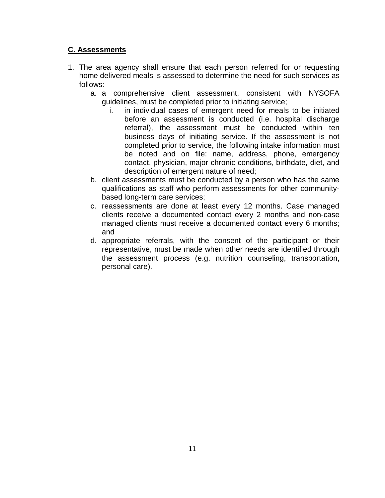## **C. Assessments**

- 1. The area agency shall ensure that each person referred for or requesting home delivered meals is assessed to determine the need for such services as follows:
	- a. a comprehensive client assessment, consistent with NYSOFA guidelines, must be completed prior to initiating service;
		- i. in individual cases of emergent need for meals to be initiated before an assessment is conducted (i.e. hospital discharge referral), the assessment must be conducted within ten business days of initiating service. If the assessment is not completed prior to service, the following intake information must be noted and on file: name, address, phone, emergency contact, physician, major chronic conditions, birthdate, diet, and description of emergent nature of need;
	- b. client assessments must be conducted by a person who has the same qualifications as staff who perform assessments for other communitybased long-term care services;
	- c. reassessments are done at least every 12 months. Case managed clients receive a documented contact every 2 months and non-case managed clients must receive a documented contact every 6 months; and
	- d. appropriate referrals, with the consent of the participant or their representative, must be made when other needs are identified through the assessment process (e.g. nutrition counseling, transportation, personal care).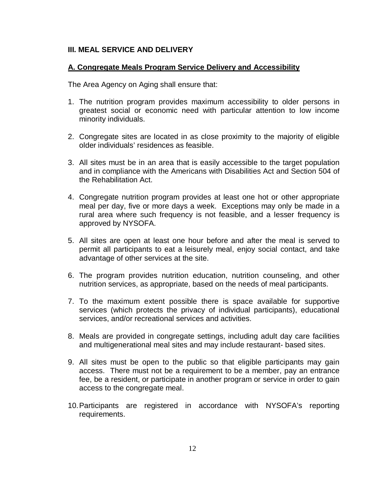### **III. MEAL SERVICE AND DELIVERY**

### **A. Congregate Meals Program Service Delivery and Accessibility**

- 1. The nutrition program provides maximum accessibility to older persons in greatest social or economic need with particular attention to low income minority individuals.
- 2. Congregate sites are located in as close proximity to the majority of eligible older individuals' residences as feasible.
- 3. All sites must be in an area that is easily accessible to the target population and in compliance with the Americans with Disabilities Act and Section 504 of the Rehabilitation Act.
- 4. Congregate nutrition program provides at least one hot or other appropriate meal per day, five or more days a week. Exceptions may only be made in a rural area where such frequency is not feasible, and a lesser frequency is approved by NYSOFA.
- 5. All sites are open at least one hour before and after the meal is served to permit all participants to eat a leisurely meal, enjoy social contact, and take advantage of other services at the site.
- 6. The program provides nutrition education, nutrition counseling, and other nutrition services, as appropriate, based on the needs of meal participants.
- 7. To the maximum extent possible there is space available for supportive services (which protects the privacy of individual participants), educational services, and/or recreational services and activities.
- 8. Meals are provided in congregate settings, including adult day care facilities and multigenerational meal sites and may include restaurant- based sites.
- 9. All sites must be open to the public so that eligible participants may gain access. There must not be a requirement to be a member, pay an entrance fee, be a resident, or participate in another program or service in order to gain access to the congregate meal.
- 10.Participants are registered in accordance with NYSOFA's reporting requirements.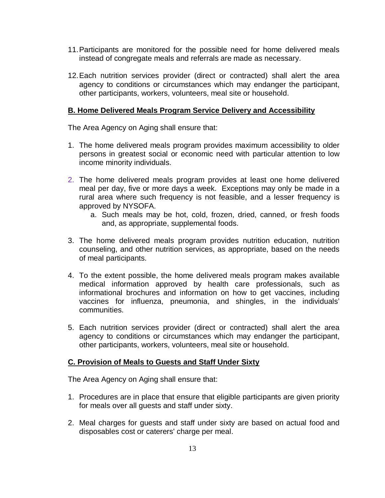- 11.Participants are monitored for the possible need for home delivered meals instead of congregate meals and referrals are made as necessary.
- 12.Each nutrition services provider (direct or contracted) shall alert the area agency to conditions or circumstances which may endanger the participant, other participants, workers, volunteers, meal site or household.

## **B. Home Delivered Meals Program Service Delivery and Accessibility**

The Area Agency on Aging shall ensure that:

- 1. The home delivered meals program provides maximum accessibility to older persons in greatest social or economic need with particular attention to low income minority individuals.
- 2. The home delivered meals program provides at least one home delivered meal per day, five or more days a week. Exceptions may only be made in a rural area where such frequency is not feasible, and a lesser frequency is approved by NYSOFA.
	- a. Such meals may be hot, cold, frozen, dried, canned, or fresh foods and, as appropriate, supplemental foods.
- 3. The home delivered meals program provides nutrition education, nutrition counseling, and other nutrition services, as appropriate, based on the needs of meal participants.
- 4. To the extent possible, the home delivered meals program makes available medical information approved by health care professionals, such as informational brochures and information on how to get vaccines, including vaccines for influenza, pneumonia, and shingles, in the individuals' communities.
- 5. Each nutrition services provider (direct or contracted) shall alert the area agency to conditions or circumstances which may endanger the participant, other participants, workers, volunteers, meal site or household.

## **C. Provision of Meals to Guests and Staff Under Sixty**

- 1. Procedures are in place that ensure that eligible participants are given priority for meals over all guests and staff under sixty.
- 2. Meal charges for guests and staff under sixty are based on actual food and disposables cost or caterers' charge per meal.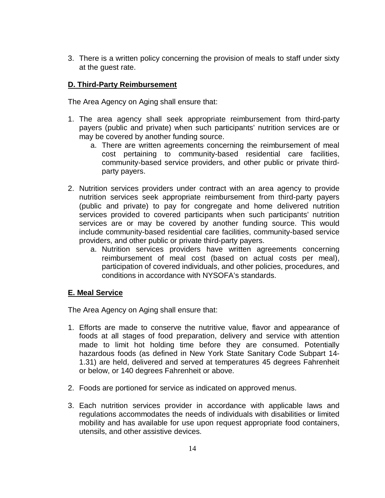3. There is a written policy concerning the provision of meals to staff under sixty at the guest rate.

## **D. Third-Party Reimbursement**

The Area Agency on Aging shall ensure that:

- 1. The area agency shall seek appropriate reimbursement from third-party payers (public and private) when such participants' nutrition services are or may be covered by another funding source.
	- a. There are written agreements concerning the reimbursement of meal cost pertaining to community-based residential care facilities, community-based service providers, and other public or private thirdparty payers.
- 2. Nutrition services providers under contract with an area agency to provide nutrition services seek appropriate reimbursement from third-party payers (public and private) to pay for congregate and home delivered nutrition services provided to covered participants when such participants' nutrition services are or may be covered by another funding source. This would include community-based residential care facilities, community-based service providers, and other public or private third-party payers.
	- a. Nutrition services providers have written agreements concerning reimbursement of meal cost (based on actual costs per meal), participation of covered individuals, and other policies, procedures, and conditions in accordance with NYSOFA's standards.

## **E. Meal Service**

- 1. Efforts are made to conserve the nutritive value, flavor and appearance of foods at all stages of food preparation, delivery and service with attention made to limit hot holding time before they are consumed. Potentially hazardous foods (as defined in New York State Sanitary Code Subpart 14- 1.31) are held, delivered and served at temperatures 45 degrees Fahrenheit or below, or 140 degrees Fahrenheit or above.
- 2. Foods are portioned for service as indicated on approved menus.
- 3. Each nutrition services provider in accordance with applicable laws and regulations accommodates the needs of individuals with disabilities or limited mobility and has available for use upon request appropriate food containers, utensils, and other assistive devices.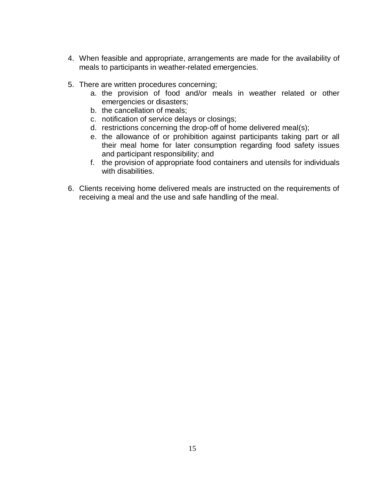- 4. When feasible and appropriate, arrangements are made for the availability of meals to participants in weather-related emergencies.
- 5. There are written procedures concerning;
	- a. the provision of food and/or meals in weather related or other emergencies or disasters;
	- b. the cancellation of meals;
	- c. notification of service delays or closings;
	- d. restrictions concerning the drop-off of home delivered meal(s);
	- e. the allowance of or prohibition against participants taking part or all their meal home for later consumption regarding food safety issues and participant responsibility; and
	- f. the provision of appropriate food containers and utensils for individuals with disabilities.
- 6. Clients receiving home delivered meals are instructed on the requirements of receiving a meal and the use and safe handling of the meal.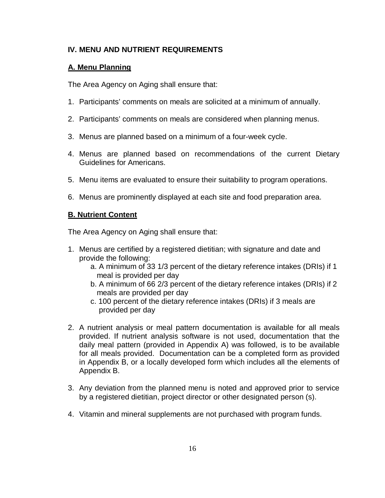## **IV. MENU AND NUTRIENT REQUIREMENTS**

## **A. Menu Planning**

The Area Agency on Aging shall ensure that:

- 1. Participants' comments on meals are solicited at a minimum of annually.
- 2. Participants' comments on meals are considered when planning menus.
- 3. Menus are planned based on a minimum of a four-week cycle.
- 4. Menus are planned based on recommendations of the current Dietary Guidelines for Americans.
- 5. Menu items are evaluated to ensure their suitability to program operations.
- 6. Menus are prominently displayed at each site and food preparation area.

## **B. Nutrient Content**

- 1. Menus are certified by a registered dietitian; with signature and date and provide the following:
	- a. A minimum of 33 1/3 percent of the dietary reference intakes (DRIs) if 1 meal is provided per day
	- b. A minimum of 66 2/3 percent of the dietary reference intakes (DRIs) if 2 meals are provided per day
	- c. 100 percent of the dietary reference intakes (DRIs) if 3 meals are provided per day
- 2. A nutrient analysis or meal pattern documentation is available for all meals provided. If nutrient analysis software is not used, documentation that the daily meal pattern (provided in Appendix A) was followed, is to be available for all meals provided. Documentation can be a completed form as provided in Appendix B, or a locally developed form which includes all the elements of Appendix B.
- 3. Any deviation from the planned menu is noted and approved prior to service by a registered dietitian, project director or other designated person (s).
- 4. Vitamin and mineral supplements are not purchased with program funds.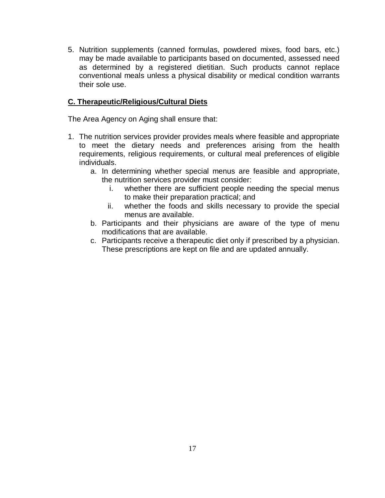5. Nutrition supplements (canned formulas, powdered mixes, food bars, etc.) may be made available to participants based on documented, assessed need as determined by a registered dietitian. Such products cannot replace conventional meals unless a physical disability or medical condition warrants their sole use.

## **C. Therapeutic/Religious/Cultural Diets**

- 1. The nutrition services provider provides meals where feasible and appropriate to meet the dietary needs and preferences arising from the health requirements, religious requirements, or cultural meal preferences of eligible individuals.
	- a. In determining whether special menus are feasible and appropriate, the nutrition services provider must consider:
		- i. whether there are sufficient people needing the special menus to make their preparation practical; and
		- ii. whether the foods and skills necessary to provide the special menus are available.
	- b. Participants and their physicians are aware of the type of menu modifications that are available.
	- c. Participants receive a therapeutic diet only if prescribed by a physician. These prescriptions are kept on file and are updated annually.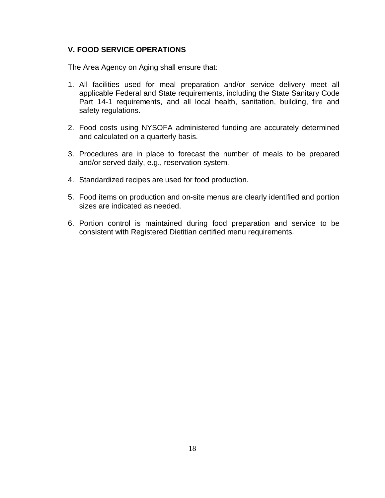### **V. FOOD SERVICE OPERATIONS**

- 1. All facilities used for meal preparation and/or service delivery meet all applicable Federal and State requirements, including the State Sanitary Code Part 14-1 requirements, and all local health, sanitation, building, fire and safety regulations.
- 2. Food costs using NYSOFA administered funding are accurately determined and calculated on a quarterly basis.
- 3. Procedures are in place to forecast the number of meals to be prepared and/or served daily, e.g., reservation system.
- 4. Standardized recipes are used for food production.
- 5. Food items on production and on-site menus are clearly identified and portion sizes are indicated as needed.
- 6. Portion control is maintained during food preparation and service to be consistent with Registered Dietitian certified menu requirements.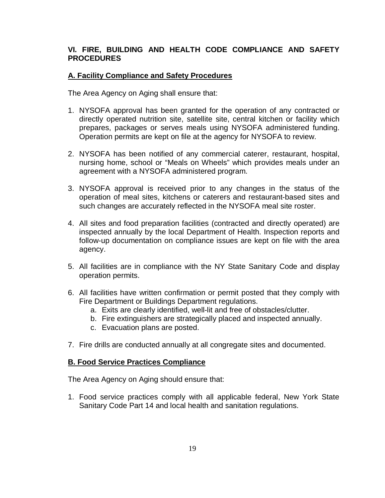## **VI. FIRE, BUILDING AND HEALTH CODE COMPLIANCE AND SAFETY PROCEDURES**

### **A. Facility Compliance and Safety Procedures**

The Area Agency on Aging shall ensure that:

- 1. NYSOFA approval has been granted for the operation of any contracted or directly operated nutrition site, satellite site, central kitchen or facility which prepares, packages or serves meals using NYSOFA administered funding. Operation permits are kept on file at the agency for NYSOFA to review.
- 2. NYSOFA has been notified of any commercial caterer, restaurant, hospital, nursing home, school or "Meals on Wheels" which provides meals under an agreement with a NYSOFA administered program.
- 3. NYSOFA approval is received prior to any changes in the status of the operation of meal sites, kitchens or caterers and restaurant-based sites and such changes are accurately reflected in the NYSOFA meal site roster.
- 4. All sites and food preparation facilities (contracted and directly operated) are inspected annually by the local Department of Health. Inspection reports and follow-up documentation on compliance issues are kept on file with the area agency.
- 5. All facilities are in compliance with the NY State Sanitary Code and display operation permits.
- 6. All facilities have written confirmation or permit posted that they comply with Fire Department or Buildings Department regulations.
	- a. Exits are clearly identified, well-lit and free of obstacles/clutter.
	- b. Fire extinguishers are strategically placed and inspected annually.
	- c. Evacuation plans are posted.
- 7. Fire drills are conducted annually at all congregate sites and documented.

#### **B. Food Service Practices Compliance**

The Area Agency on Aging should ensure that:

1. Food service practices comply with all applicable federal, New York State Sanitary Code Part 14 and local health and sanitation regulations.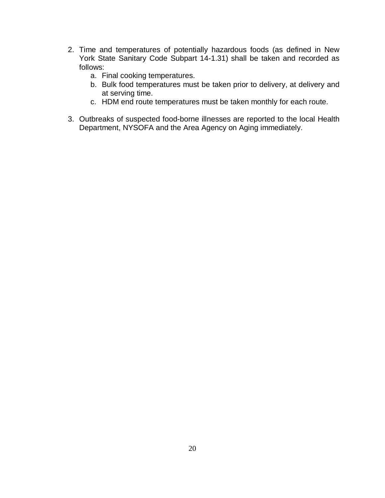- 2. Time and temperatures of potentially hazardous foods (as defined in New York State Sanitary Code Subpart 14-1.31) shall be taken and recorded as follows:
	- a. Final cooking temperatures.
	- b. Bulk food temperatures must be taken prior to delivery, at delivery and at serving time.
	- c. HDM end route temperatures must be taken monthly for each route.
- 3. Outbreaks of suspected food-borne illnesses are reported to the local Health Department, NYSOFA and the Area Agency on Aging immediately.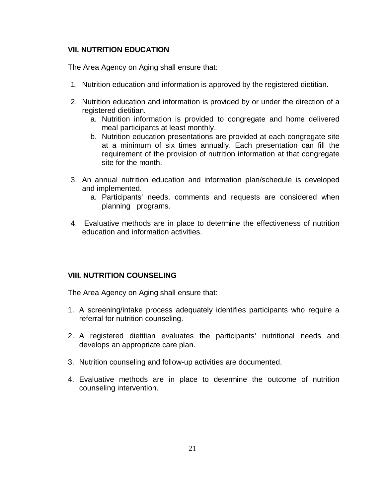#### **VII. NUTRITION EDUCATION**

The Area Agency on Aging shall ensure that:

- 1. Nutrition education and information is approved by the registered dietitian.
- 2. Nutrition education and information is provided by or under the direction of a registered dietitian.
	- a. Nutrition information is provided to congregate and home delivered meal participants at least monthly.
	- b. Nutrition education presentations are provided at each congregate site at a minimum of six times annually. Each presentation can fill the requirement of the provision of nutrition information at that congregate site for the month.
- 3. An annual nutrition education and information plan/schedule is developed and implemented.
	- a. Participants' needs, comments and requests are considered when planning programs.
- 4. Evaluative methods are in place to determine the effectiveness of nutrition education and information activities.

## **VIII. NUTRITION COUNSELING**

- 1. A screening/intake process adequately identifies participants who require a referral for nutrition counseling.
- 2. A registered dietitian evaluates the participants' nutritional needs and develops an appropriate care plan.
- 3. Nutrition counseling and follow-up activities are documented.
- 4. Evaluative methods are in place to determine the outcome of nutrition counseling intervention.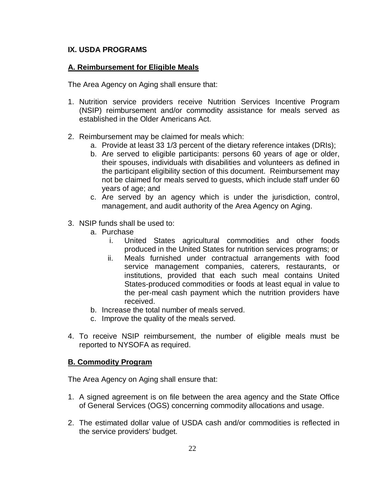## **IX. USDA PROGRAMS**

### **A. Reimbursement for Eligible Meals**

The Area Agency on Aging shall ensure that:

- 1. Nutrition service providers receive Nutrition Services Incentive Program (NSIP) reimbursement and/or commodity assistance for meals served as established in the Older Americans Act.
- 2. Reimbursement may be claimed for meals which:
	- a. Provide at least 33 1/3 percent of the dietary reference intakes (DRIs);
	- b. Are served to eligible participants: persons 60 years of age or older, their spouses, individuals with disabilities and volunteers as defined in the participant eligibility section of this document. Reimbursement may not be claimed for meals served to guests, which include staff under 60 years of age; and
	- c. Are served by an agency which is under the jurisdiction, control, management, and audit authority of the Area Agency on Aging.
- 3. NSIP funds shall be used to:
	- a. Purchase
		- i. United States agricultural commodities and other foods produced in the United States for nutrition services programs; or
		- ii. Meals furnished under contractual arrangements with food service management companies, caterers, restaurants, or institutions, provided that each such meal contains United States-produced commodities or foods at least equal in value to the per-meal cash payment which the nutrition providers have received.
	- b. Increase the total number of meals served.
	- c. Improve the quality of the meals served.
- 4. To receive NSIP reimbursement, the number of eligible meals must be reported to NYSOFA as required.

## **B. Commodity Program**

- 1. A signed agreement is on file between the area agency and the State Office of General Services (OGS) concerning commodity allocations and usage.
- 2. The estimated dollar value of USDA cash and/or commodities is reflected in the service providers' budget.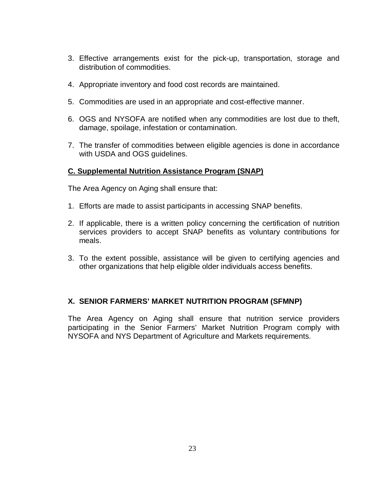- 3. Effective arrangements exist for the pick-up, transportation, storage and distribution of commodities.
- 4. Appropriate inventory and food cost records are maintained.
- 5. Commodities are used in an appropriate and cost-effective manner.
- 6. OGS and NYSOFA are notified when any commodities are lost due to theft, damage, spoilage, infestation or contamination.
- 7. The transfer of commodities between eligible agencies is done in accordance with USDA and OGS guidelines.

### **C. Supplemental Nutrition Assistance Program (SNAP)**

The Area Agency on Aging shall ensure that:

- 1. Efforts are made to assist participants in accessing SNAP benefits.
- 2. If applicable, there is a written policy concerning the certification of nutrition services providers to accept SNAP benefits as voluntary contributions for meals.
- 3. To the extent possible, assistance will be given to certifying agencies and other organizations that help eligible older individuals access benefits.

## **X. SENIOR FARMERS' MARKET NUTRITION PROGRAM (SFMNP)**

The Area Agency on Aging shall ensure that nutrition service providers participating in the Senior Farmers' Market Nutrition Program comply with NYSOFA and NYS Department of Agriculture and Markets requirements.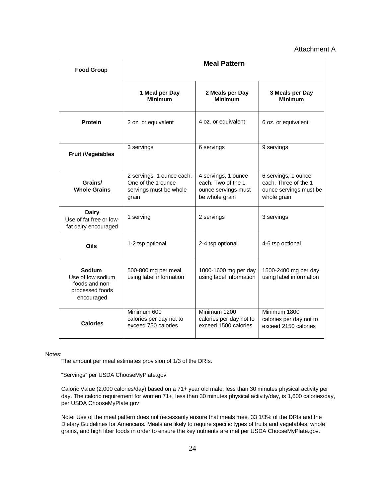#### Attachment A

| <b>Food Group</b>                                                              | <b>Meal Pattern</b>                                                                |                                                                                    |                                                                                      |  |
|--------------------------------------------------------------------------------|------------------------------------------------------------------------------------|------------------------------------------------------------------------------------|--------------------------------------------------------------------------------------|--|
|                                                                                | 1 Meal per Day<br><b>Minimum</b>                                                   | 2 Meals per Day<br><b>Minimum</b>                                                  | 3 Meals per Day<br><b>Minimum</b>                                                    |  |
| Protein                                                                        | 2 oz. or equivalent                                                                | 4 oz. or equivalent                                                                | 6 oz. or equivalent                                                                  |  |
| <b>Fruit /Vegetables</b>                                                       | 3 servings                                                                         | 6 servings                                                                         | 9 servings                                                                           |  |
| Grains/<br><b>Whole Grains</b>                                                 | 2 servings, 1 ounce each.<br>One of the 1 ounce<br>servings must be whole<br>grain | 4 servings, 1 ounce<br>each. Two of the 1<br>ounce servings must<br>be whole grain | 6 servings, 1 ounce<br>each. Three of the 1<br>ounce servings must be<br>whole grain |  |
| <b>Dairy</b><br>Use of fat free or low-<br>fat dairy encouraged                | 1 serving                                                                          | 2 servings                                                                         | 3 servings                                                                           |  |
| Oils                                                                           | 1-2 tsp optional                                                                   | 2-4 tsp optional                                                                   | 4-6 tsp optional                                                                     |  |
| Sodium<br>Use of low sodium<br>foods and non-<br>processed foods<br>encouraged | 500-800 mg per meal<br>using label information                                     | 1000-1600 mg per day<br>using label information                                    | 1500-2400 mg per day<br>using label information                                      |  |
| Calories                                                                       | Minimum 600<br>calories per day not to<br>exceed 750 calories                      | Minimum 1200<br>calories per day not to<br>exceed 1500 calories                    | Minimum 1800<br>calories per day not to<br>exceed 2150 calories                      |  |

Notes:

The amount per meal estimates provision of 1/3 of the DRIs.

"Servings" per USDA ChooseMyPlate.gov.

Caloric Value (2,000 calories/day) based on a 71+ year old male, less than 30 minutes physical activity per day. The caloric requirement for women 71+, less than 30 minutes physical activity/day, is 1,600 calories/day, per USDA ChooseMyPlate.gov

Note: Use of the meal pattern does not necessarily ensure that meals meet 33 1/3% of the DRIs and the Dietary Guidelines for Americans. Meals are likely to require specific types of fruits and vegetables, whole grains, and high fiber foods in order to ensure the key nutrients are met per USDA ChooseMyPlate.gov.